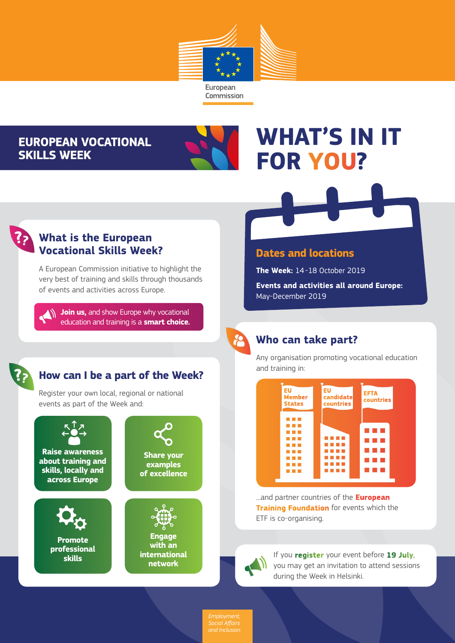

## **EUROPEAN VOCATIONAL SKILLS WEEK**



# **WHAT'S IN IT FOR YOU?**

### **What is the European Vocational Skills Week?**

A European Commission initiative to highlight the very best of training and skills through thousands of events and activities across Europe.

**Join us, and show Europe why vocational** education and training is a **smart choice.**

#### **Dates and locations**

**The Week:** 14-18 October 2019

**Events and activities all around Europe:**  May-December 2019

# **Who can take part?**

Any organisation promoting vocational education and training in:



...and partner countries of the **European Training Foundation** for events which the ETF is co-organising.



If you **register** your event before **19 July**, you may get an invitation to attend sessions during the Week in Helsinki.

# **How can I be a part of the Week?**

Register your own local, regional or national events as part of the Week and:



*Social Affairs and Inclusion*